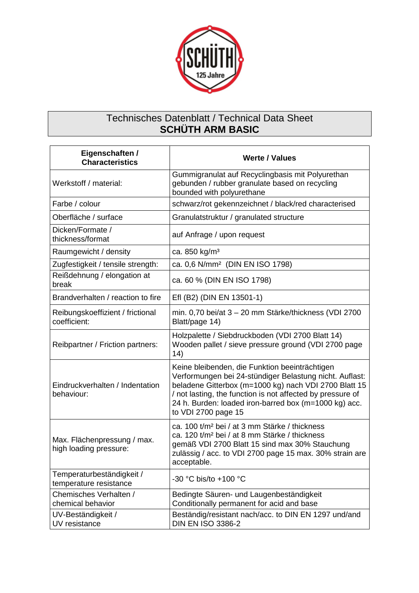

## Technisches Datenblatt / Technical Data Sheet **SCHÜTH ARM BASIC**

| Eigenschaften /<br><b>Characteristics</b>             | <b>Werte / Values</b>                                                                                                                                                                                                                                                                                            |
|-------------------------------------------------------|------------------------------------------------------------------------------------------------------------------------------------------------------------------------------------------------------------------------------------------------------------------------------------------------------------------|
| Werkstoff / material:                                 | Gummigranulat auf Recyclingbasis mit Polyurethan<br>gebunden / rubber granulate based on recycling<br>bounded with polyurethane                                                                                                                                                                                  |
| Farbe / colour                                        | schwarz/rot gekennzeichnet / black/red characterised                                                                                                                                                                                                                                                             |
| Oberfläche / surface                                  | Granulatstruktur / granulated structure                                                                                                                                                                                                                                                                          |
| Dicken/Formate /<br>thickness/format                  | auf Anfrage / upon request                                                                                                                                                                                                                                                                                       |
| Raumgewicht / density                                 | ca. 850 kg/m <sup>3</sup>                                                                                                                                                                                                                                                                                        |
| Zugfestigkeit / tensile strength:                     | ca. 0,6 N/mm <sup>2</sup> (DIN EN ISO 1798)                                                                                                                                                                                                                                                                      |
| Reißdehnung / elongation at<br>break                  | ca. 60 % (DIN EN ISO 1798)                                                                                                                                                                                                                                                                                       |
| Brandverhalten / reaction to fire                     | Efl (B2) (DIN EN 13501-1)                                                                                                                                                                                                                                                                                        |
| Reibungskoeffizient / frictional<br>coefficient:      | min. 0,70 bei/at 3 - 20 mm Stärke/thickness (VDI 2700<br>Blatt/page 14)                                                                                                                                                                                                                                          |
| Reibpartner / Friction partners:                      | Holzpalette / Siebdruckboden (VDI 2700 Blatt 14)<br>Wooden pallet / sieve pressure ground (VDI 2700 page<br>14)                                                                                                                                                                                                  |
| Eindruckverhalten / Indentation<br>behaviour:         | Keine bleibenden, die Funktion beeinträchtigen<br>Verformungen bei 24-stündiger Belastung nicht. Auflast:<br>beladene Gitterbox (m=1000 kg) nach VDI 2700 Blatt 15<br>/ not lasting, the function is not affected by pressure of<br>24 h. Burden: loaded iron-barred box (m=1000 kg) acc.<br>to VDI 2700 page 15 |
| Max. Flächenpressung / max.<br>high loading pressure: | ca. 100 t/m <sup>2</sup> bei / at 3 mm Stärke / thickness<br>ca. 120 t/m <sup>2</sup> bei / at 8 mm Stärke / thickness<br>gemäß VDI 2700 Blatt 15 sind max 30% Stauchung<br>zulässig / acc. to VDI 2700 page 15 max. 30% strain are<br>acceptable.                                                               |
| Temperaturbeständigkeit /<br>temperature resistance   | -30 °C bis/to +100 °C                                                                                                                                                                                                                                                                                            |
| Chemisches Verhalten /<br>chemical behavior           | Bedingte Säuren- und Laugenbeständigkeit<br>Conditionally permanent for acid and base                                                                                                                                                                                                                            |
| UV-Beständigkeit /<br>UV resistance                   | Beständig/resistant nach/acc. to DIN EN 1297 und/and<br><b>DIN EN ISO 3386-2</b>                                                                                                                                                                                                                                 |